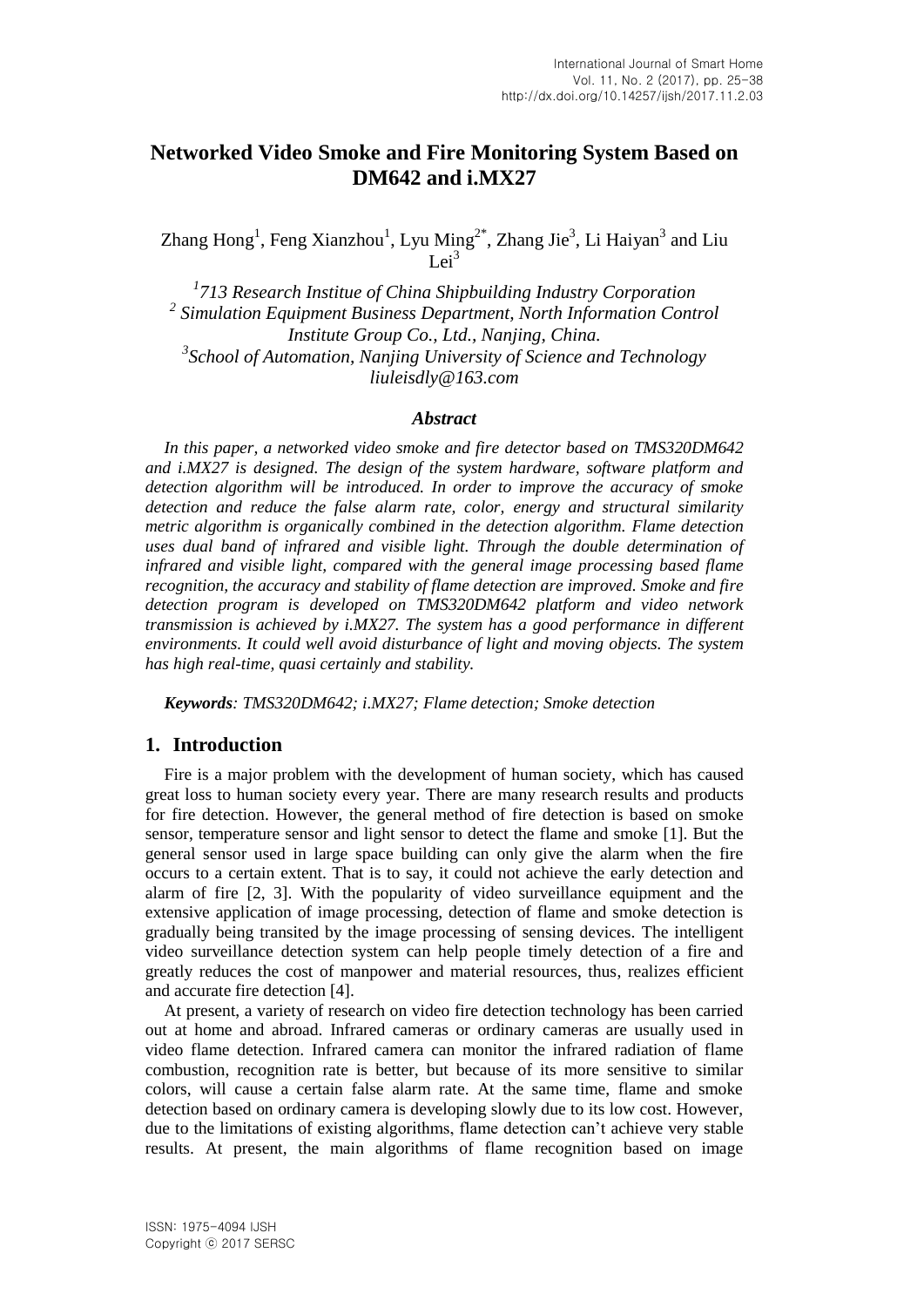# **Networked Video Smoke and Fire Monitoring System Based on DM642 and i.MX27**

Zhang Hong<sup>1</sup>, Feng Xianzhou<sup>1</sup>, Lyu Ming<sup>2\*</sup>, Zhang Jie<sup>3</sup>, Li Haiyan<sup>3</sup> and Liu  $Lei<sup>3</sup>$ 

*1 713 Research Institue of China Shipbuilding Industry Corporation* <sup>2</sup> Simulation Equipment Business Department, North Information Control *Institute Group Co., Ltd., Nanjing, China. 3 School of Automation, Nanjing University of Science and Technology liuleisdly@163.com*

#### *Abstract*

*In this paper, a networked video smoke and fire detector based on TMS320DM642 and i.MX27 is designed. The design of the system hardware, software platform and detection algorithm will be introduced. In order to improve the accuracy of smoke detection and reduce the false alarm rate, color, energy and structural similarity metric algorithm is organically combined in the detection algorithm. Flame detection uses dual band of infrared and visible light. Through the double determination of infrared and visible light, compared with the general image processing based flame recognition, the accuracy and stability of flame detection are improved. Smoke and fire detection program is developed on TMS320DM642 platform and video network transmission is achieved by i.MX27. The system has a good performance in different environments. It could well avoid disturbance of light and moving objects. The system has high real-time, quasi certainly and stability.*

*Keywords: TMS320DM642; i.MX27; Flame detection; Smoke detection*

## **1. Introduction**

Fire is a major problem with the development of human society, which has caused great loss to human society every year. There are many research results and products for fire detection. However, the general method of fire detection is based on smoke sensor, temperature sensor and light sensor to detect the flame and smoke [1]. But the general sensor used in large space building can only give the alarm when the fire occurs to a certain extent. That is to say, it could not achieve the early detection and alarm of fire [2, 3]. With the popularity of video surveillance equipment and the extensive application of image processing, detection of flame and smoke detection is gradually being transited by the image processing of sensing devices. The intelligent video surveillance detection system can help people timely detection of a fire and greatly reduces the cost of manpower and material resources, thus, realizes efficient and accurate fire detection [4].

At present, a variety of research on video fire detection technology has been carried out at home and abroad. Infrared cameras or ordinary cameras are usually used in video flame detection. Infrared camera can monitor the infrared radiation of flame combustion, recognition rate is better, but because of its more sensitive to similar colors, will cause a certain false alarm rate. At the same time, flame and smoke detection based on ordinary camera is developing slowly due to its low cost. However, due to the limitations of existing algorithms, flame detection can't achieve very stable results. At present, the main algorithms of flame recognition based on image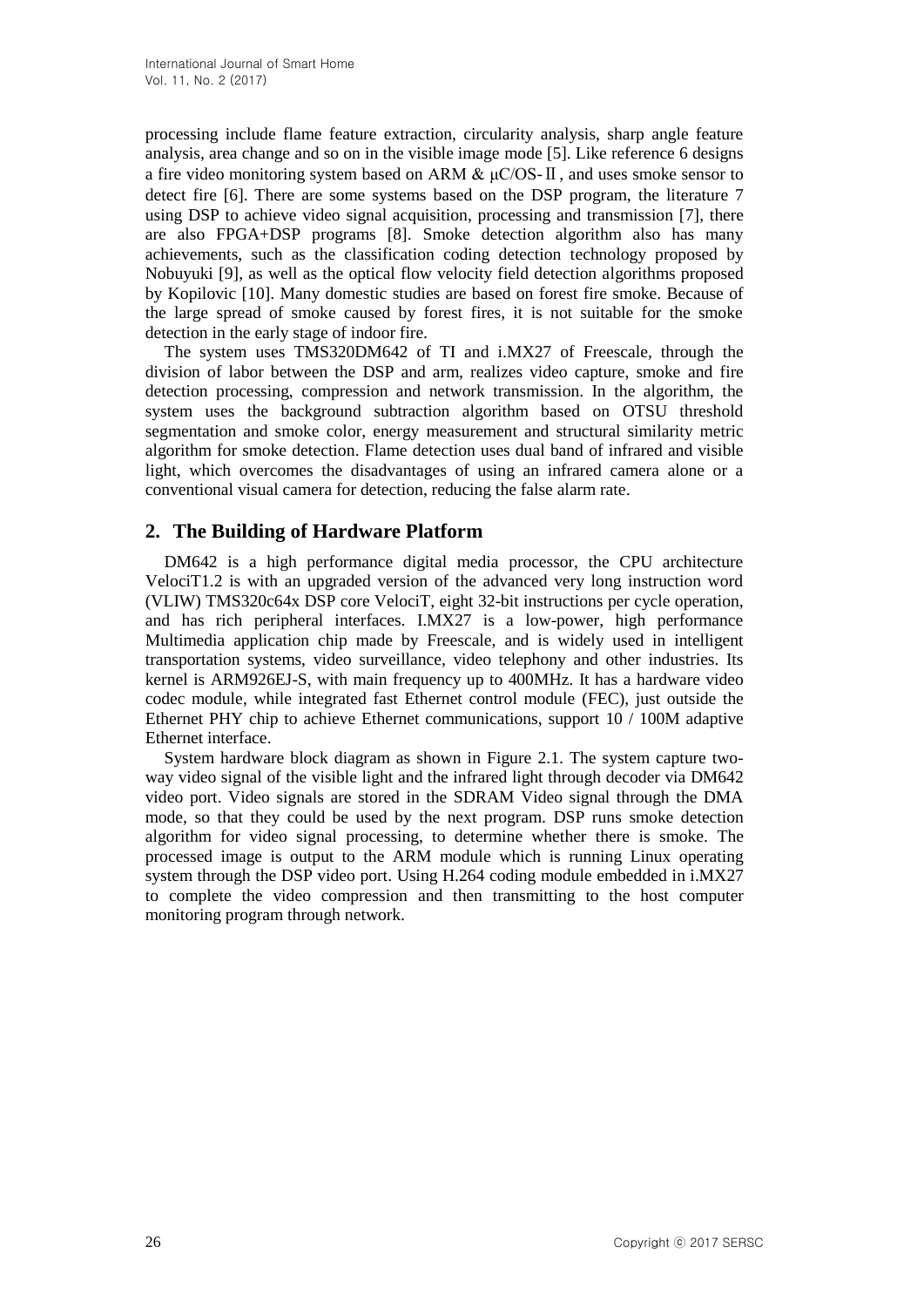processing include flame feature extraction, circularity analysis, sharp angle feature analysis, area change and so on in the visible image mode [5]. Like reference 6 designs a fire video monitoring system based on ARM  $\& \mu\text{C/OS-II}$ , and uses smoke sensor to detect fire [6]. There are some systems based on the DSP program, the literature 7 using DSP to achieve video signal acquisition, processing and transmission [7], there are also FPGA+DSP programs [8]. Smoke detection algorithm also has many achievements, such as the classification coding detection technology proposed by Nobuyuki [9], as well as the optical flow velocity field detection algorithms proposed by Kopilovic [10]. Many domestic studies are based on forest fire smoke. Because of the large spread of smoke caused by forest fires, it is not suitable for the smoke detection in the early stage of indoor fire.

The system uses TMS320DM642 of TI and i.MX27 of Freescale, through the division of labor between the DSP and arm, realizes video capture, smoke and fire detection processing, compression and network transmission. In the algorithm, the system uses the background subtraction algorithm based on OTSU threshold segmentation and smoke color, energy measurement and structural similarity metric algorithm for smoke detection. Flame detection uses dual band of infrared and visible light, which overcomes the disadvantages of using an infrared camera alone or a conventional visual camera for detection, reducing the false alarm rate.

### **2. The Building of Hardware Platform**

DM642 is a high performance digital media processor, the CPU architecture VelociT1.2 is with an upgraded version of the advanced very long instruction word (VLIW) TMS320c64x DSP core VelociT, eight 32-bit instructions per cycle operation, and has rich peripheral interfaces. I.MX27 is a low-power, high performance Multimedia application chip made by Freescale, and is widely used in intelligent transportation systems, video surveillance, video telephony and other industries. Its kernel is ARM926EJ-S, with main frequency up to 400MHz. It has a hardware video codec module, while integrated fast Ethernet control module (FEC), just outside the Ethernet PHY chip to achieve Ethernet communications, support 10 / 100M adaptive Ethernet interface.

System hardware block diagram as shown in Figure 2.1. The system capture twoway video signal of the visible light and the infrared light through decoder via DM642 video port. Video signals are stored in the SDRAM Video signal through the DMA mode, so that they could be used by the next program. DSP runs smoke detection algorithm for video signal processing, to determine whether there is smoke. The processed image is output to the ARM module which is running Linux operating system through the DSP video port. Using H.264 coding module embedded in i.MX27 to complete the video compression and then transmitting to the host computer monitoring program through network.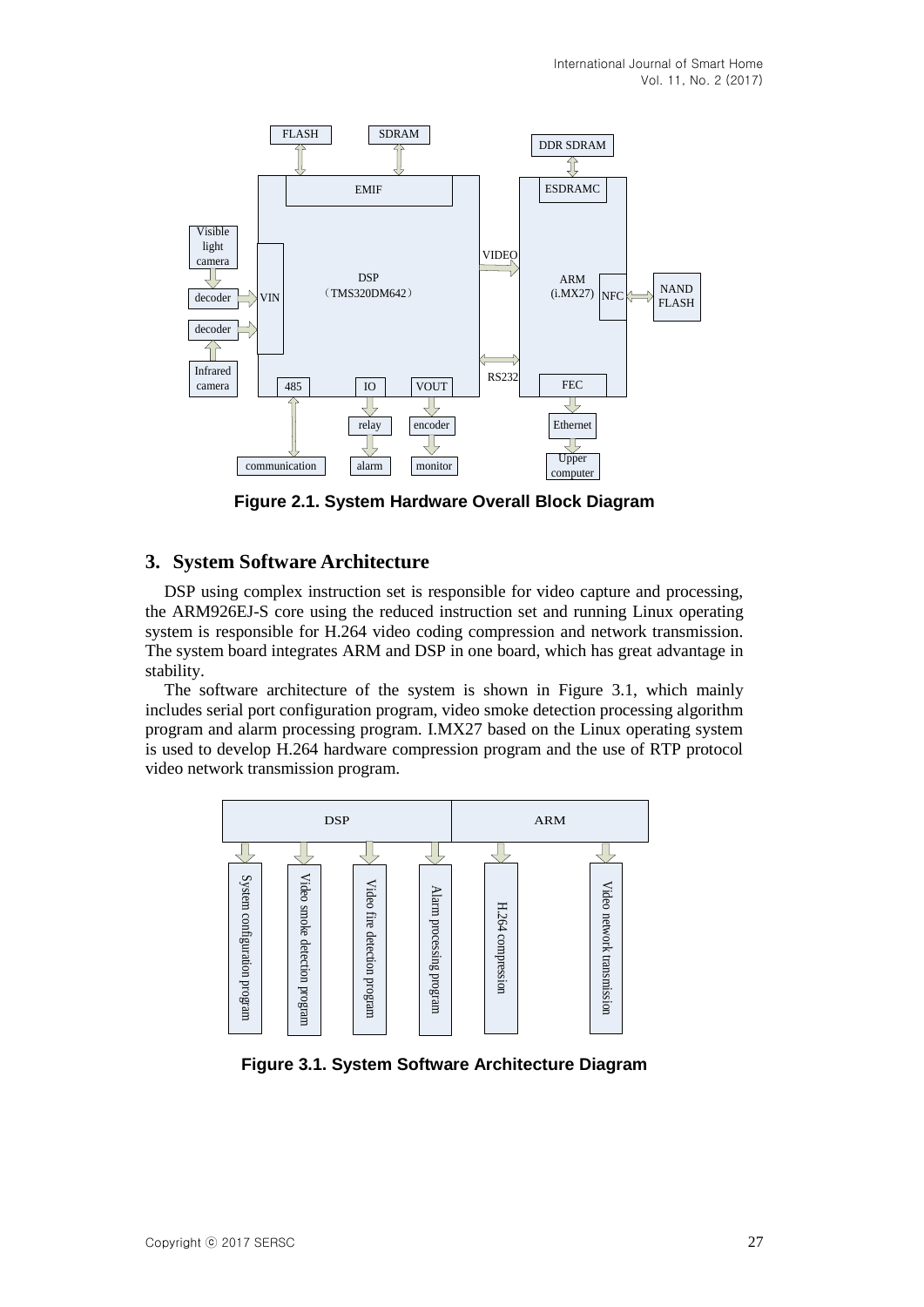

**Figure 2.1. System Hardware Overall Block Diagram**

## **3. System Software Architecture**

DSP using complex instruction set is responsible for video capture and processing, the ARM926EJ-S core using the reduced instruction set and running Linux operating system is responsible for H.264 video coding compression and network transmission. The system board integrates ARM and DSP in one board, which has great advantage in stability.

The software architecture of the system is shown in Figure 3.1, which mainly includes serial port configuration program, video smoke detection processing algorithm program and alarm processing program. I.MX27 based on the Linux operating system is used to develop H.264 hardware compression program and the use of RTP protocol video network transmission program.



**Figure 3.1. System Software Architecture Diagram**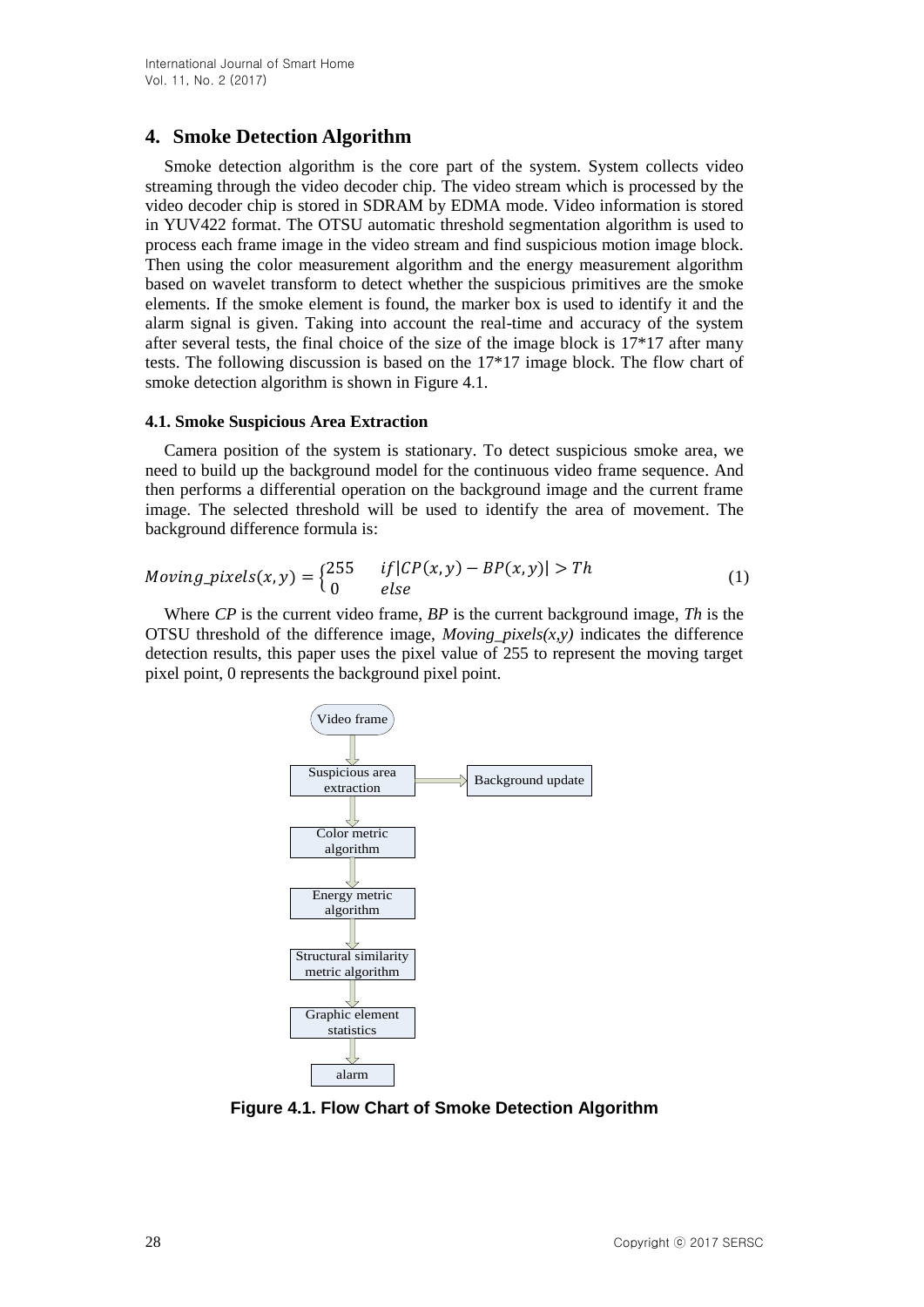# **4. Smoke Detection Algorithm**

Smoke detection algorithm is the core part of the system. System collects video streaming through the video decoder chip. The video stream which is processed by the video decoder chip is stored in SDRAM by EDMA mode. Video information is stored in YUV422 format. The OTSU automatic threshold segmentation algorithm is used to process each frame image in the video stream and find suspicious motion image block. Then using the color measurement algorithm and the energy measurement algorithm based on wavelet transform to detect whether the suspicious primitives are the smoke elements. If the smoke element is found, the marker box is used to identify it and the alarm signal is given. Taking into account the real-time and accuracy of the system after several tests, the final choice of the size of the image block is 17\*17 after many tests. The following discussion is based on the 17\*17 image block. The flow chart of smoke detection algorithm is shown in Figure 4.1.

#### **4.1. Smoke Suspicious Area Extraction**

Camera position of the system is stationary. To detect suspicious smoke area, we need to build up the background model for the continuous video frame sequence. And then performs a differential operation on the background image and the current frame image. The selected threshold will be used to identify the area of movement. The background difference formula is:

$$
Moving\_pixels(x, y) = \begin{cases} 255 & if |CP(x, y) - BP(x, y)| > Th \\ 0 & else \end{cases}
$$
(1)

Where *CP* is the current video frame, *BP* is the current background image, *Th* is the OTSU threshold of the difference image, *Moving\_pixels(x,y)* indicates the difference detection results, this paper uses the pixel value of 255 to represent the moving target pixel point, 0 represents the background pixel point.



**Figure 4.1. Flow Chart of Smoke Detection Algorithm**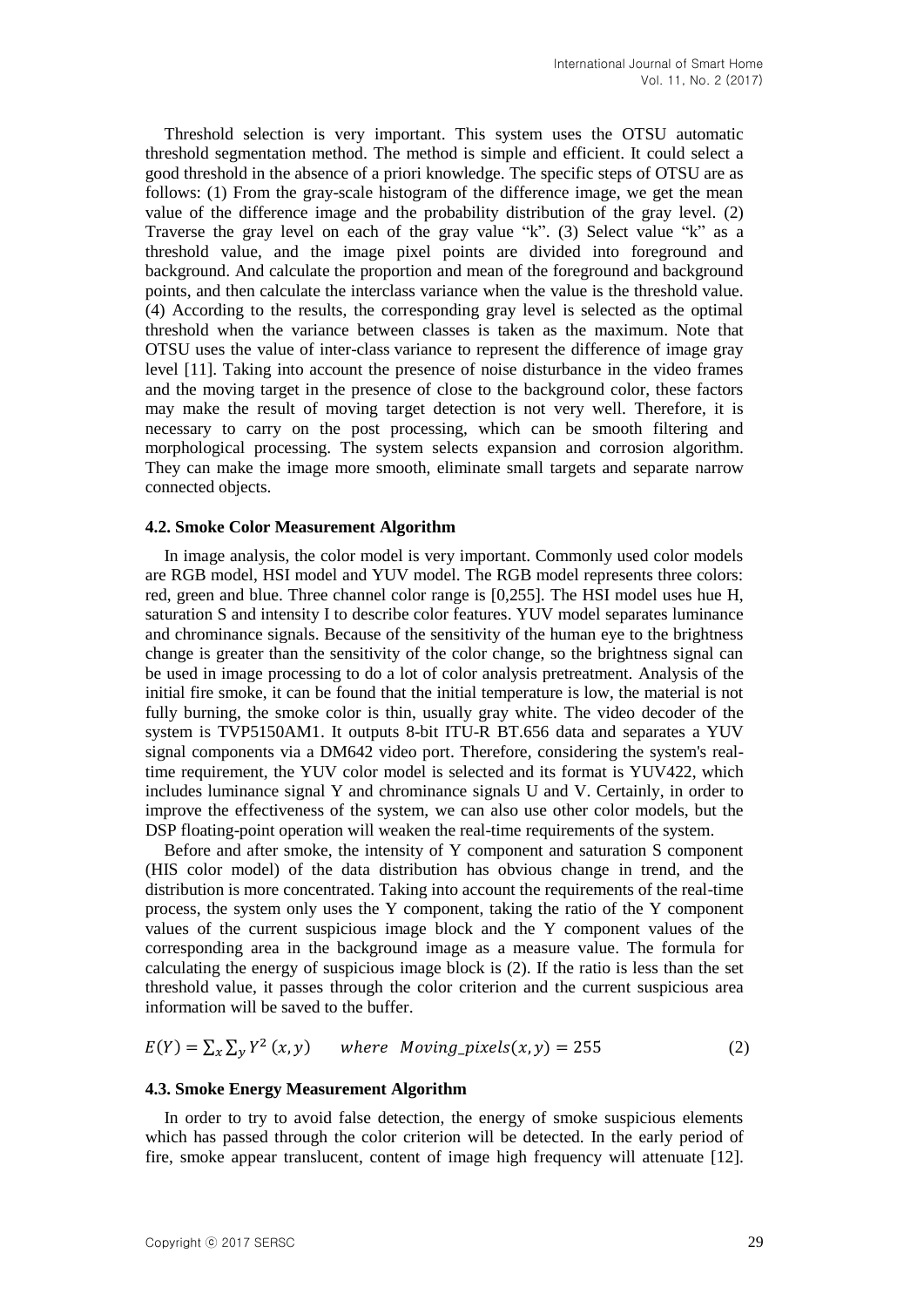Threshold selection is very important. This system uses the OTSU automatic threshold segmentation method. The method is simple and efficient. It could select a good threshold in the absence of a priori knowledge. The specific steps of OTSU are as follows: (1) From the gray-scale histogram of the difference image, we get the mean value of the difference image and the probability distribution of the gray level. (2) Traverse the gray level on each of the gray value "k". (3) Select value "k" as a threshold value, and the image pixel points are divided into foreground and background. And calculate the proportion and mean of the foreground and background points, and then calculate the interclass variance when the value is the threshold value. (4) According to the results, the corresponding gray level is selected as the optimal threshold when the variance between classes is taken as the maximum. Note that OTSU uses the value of inter-class variance to represent the difference of image gray level [11]. Taking into account the presence of noise disturbance in the video frames and the moving target in the presence of close to the background color, these factors may make the result of moving target detection is not very well. Therefore, it is necessary to carry on the post processing, which can be smooth filtering and morphological processing. The system selects expansion and corrosion algorithm. They can make the image more smooth, eliminate small targets and separate narrow connected objects.

#### **4.2. Smoke Color Measurement Algorithm**

In image analysis, the color model is very important. Commonly used color models are RGB model, HSI model and YUV model. The RGB model represents three colors: red, green and blue. Three channel color range is [0,255]. The HSI model uses hue H, saturation S and intensity I to describe color features. YUV model separates luminance and chrominance signals. Because of the sensitivity of the human eye to the brightness change is greater than the sensitivity of the color change, so the brightness signal can be used in image processing to do a lot of color analysis pretreatment. Analysis of the initial fire smoke, it can be found that the initial temperature is low, the material is not fully burning, the smoke color is thin, usually gray white. The video decoder of the system is TVP5150AM1. It outputs 8-bit ITU-R BT.656 data and separates a YUV signal components via a DM642 video port. Therefore, considering the system's realtime requirement, the YUV color model is selected and its format is YUV422, which includes luminance signal Y and chrominance signals U and V. Certainly, in order to improve the effectiveness of the system, we can also use other color models, but the DSP floating-point operation will weaken the real-time requirements of the system.

Before and after smoke, the intensity of Y component and saturation S component (HIS color model) of the data distribution has obvious change in trend, and the distribution is more concentrated. Taking into account the requirements of the real-time process, the system only uses the Y component, taking the ratio of the Y component values of the current suspicious image block and the Y component values of the corresponding area in the background image as a measure value. The formula for calculating the energy of suspicious image block is (2). If the ratio is less than the set threshold value, it passes through the color criterion and the current suspicious area information will be saved to the buffer.

$$
E(Y) = \sum_{x} \sum_{y} Y^2(x, y) \quad \text{where Moving\_pixels}(x, y) = 255 \tag{2}
$$

#### **4.3. Smoke Energy Measurement Algorithm**

In order to try to avoid false detection, the energy of smoke suspicious elements which has passed through the color criterion will be detected. In the early period of fire, smoke appear translucent, content of image high frequency will attenuate [12].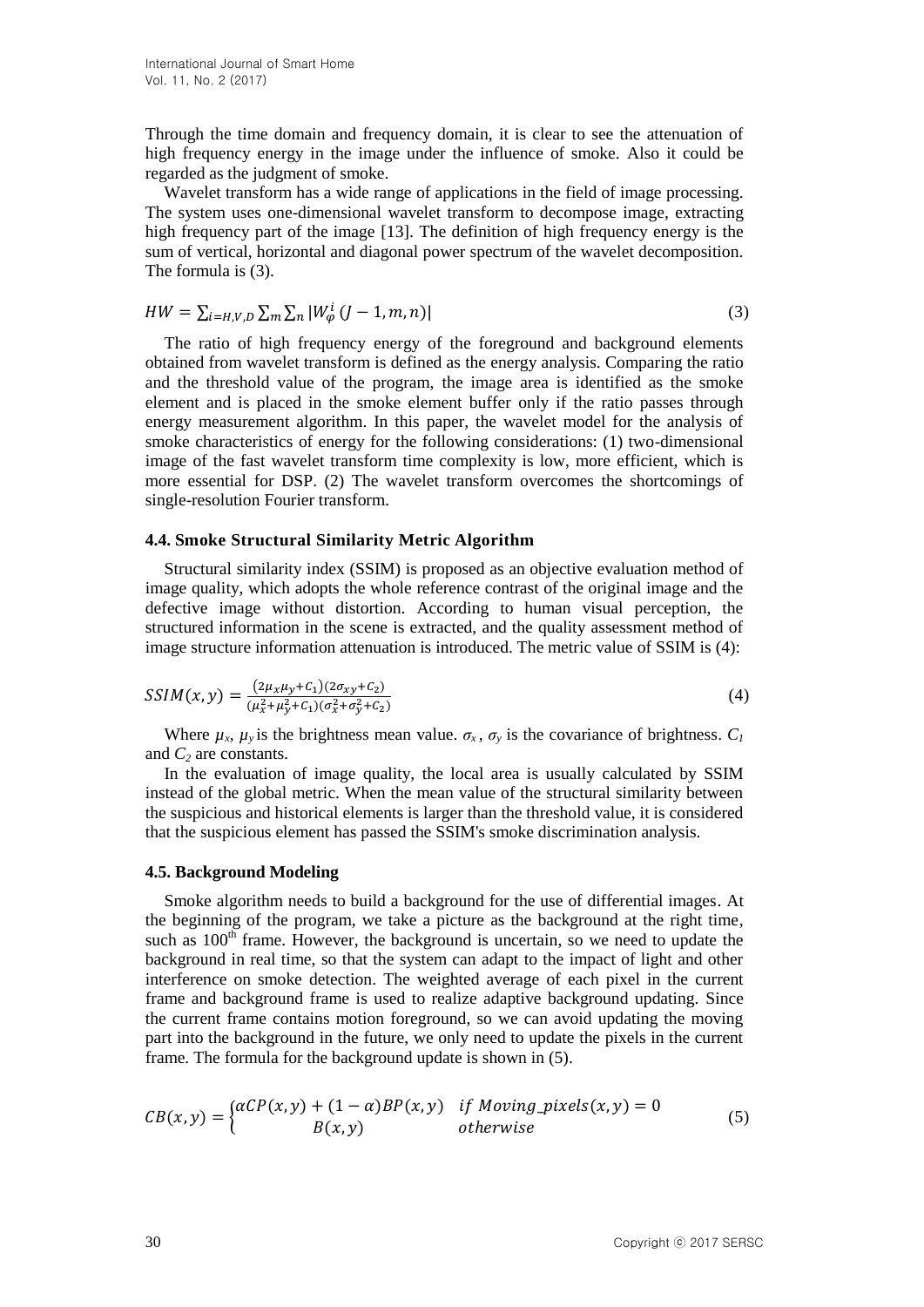Through the time domain and frequency domain, it is clear to see the attenuation of high frequency energy in the image under the influence of smoke. Also it could be regarded as the judgment of smoke.

Wavelet transform has a wide range of applications in the field of image processing. The system uses one-dimensional wavelet transform to decompose image, extracting high frequency part of the image [13]. The definition of high frequency energy is the sum of vertical, horizontal and diagonal power spectrum of the wavelet decomposition. The formula is (3).

$$
HW = \sum_{i=H,V,D} \sum_{m} \sum_{n} |W_{\varphi}^{i}(J-1,m,n)| \tag{3}
$$

The ratio of high frequency energy of the foreground and background elements obtained from wavelet transform is defined as the energy analysis. Comparing the ratio and the threshold value of the program, the image area is identified as the smoke element and is placed in the smoke element buffer only if the ratio passes through energy measurement algorithm. In this paper, the wavelet model for the analysis of smoke characteristics of energy for the following considerations: (1) two-dimensional image of the fast wavelet transform time complexity is low, more efficient, which is more essential for DSP. (2) The wavelet transform overcomes the shortcomings of single-resolution Fourier transform.

#### **4.4. Smoke Structural Similarity Metric Algorithm**

Structural similarity index (SSIM) is proposed as an objective evaluation method of image quality, which adopts the whole reference contrast of the original image and the defective image without distortion. According to human visual perception, the structured information in the scene is extracted, and the quality assessment method of image structure information attenuation is introduced. The metric value of SSIM is (4):

$$
SSIM(x, y) = \frac{(2\mu_x \mu_y + C_1)(2\sigma_{xy} + C_2)}{(\mu_x^2 + \mu_y^2 + C_1)(\sigma_x^2 + \sigma_y^2 + C_2)}
$$
(4)

Where  $\mu_x$ ,  $\mu_y$  is the brightness mean value.  $\sigma_x$ ,  $\sigma_y$  is the covariance of brightness.  $C_I$ and *C<sup>2</sup>* are constants.

In the evaluation of image quality, the local area is usually calculated by SSIM instead of the global metric. When the mean value of the structural similarity between the suspicious and historical elements is larger than the threshold value, it is considered that the suspicious element has passed the SSIM's smoke discrimination analysis.

#### **4.5. Background Modeling**

Smoke algorithm needs to build a background for the use of differential images. At the beginning of the program, we take a picture as the background at the right time, such as  $100<sup>th</sup>$  frame. However, the background is uncertain, so we need to update the background in real time, so that the system can adapt to the impact of light and other interference on smoke detection. The weighted average of each pixel in the current frame and background frame is used to realize adaptive background updating. Since the current frame contains motion foreground, so we can avoid updating the moving part into the background in the future, we only need to update the pixels in the current frame. The formula for the background update is shown in (5).

$$
CB(x, y) = \begin{cases} \alpha CP(x, y) + (1 - \alpha)BP(x, y) & \text{if Moving\_pixels}(x, y) = 0\\ B(x, y) & \text{otherwise} \end{cases}
$$
(5)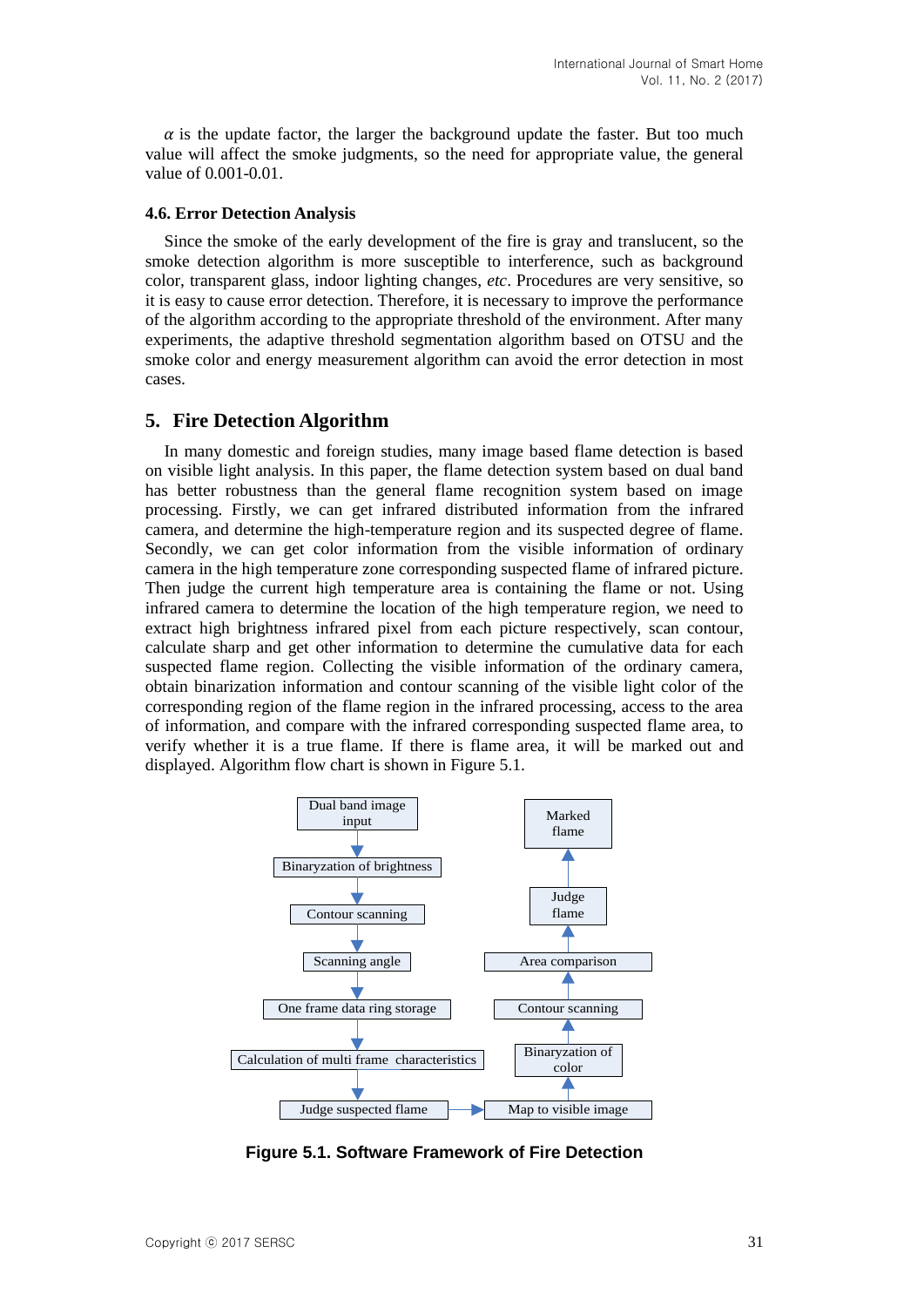$\alpha$  is the update factor, the larger the background update the faster. But too much value will affect the smoke judgments, so the need for appropriate value, the general value of 0.001-0.01.

#### **4.6. Error Detection Analysis**

Since the smoke of the early development of the fire is gray and translucent, so the smoke detection algorithm is more susceptible to interference, such as background color, transparent glass, indoor lighting changes, *etc*. Procedures are very sensitive, so it is easy to cause error detection. Therefore, it is necessary to improve the performance of the algorithm according to the appropriate threshold of the environment. After many experiments, the adaptive threshold segmentation algorithm based on OTSU and the smoke color and energy measurement algorithm can avoid the error detection in most cases.

### **5. Fire Detection Algorithm**

In many domestic and foreign studies, many image based flame detection is based on visible light analysis. In this paper, the flame detection system based on dual band has better robustness than the general flame recognition system based on image processing. Firstly, we can get infrared distributed information from the infrared camera, and determine the high-temperature region and its suspected degree of flame. Secondly, we can get color information from the visible information of ordinary camera in the high temperature zone corresponding suspected flame of infrared picture. Then judge the current high temperature area is containing the flame or not. Using infrared camera to determine the location of the high temperature region, we need to extract high brightness infrared pixel from each picture respectively, scan contour, calculate sharp and get other information to determine the cumulative data for each suspected flame region. Collecting the visible information of the ordinary camera, obtain binarization information and contour scanning of the visible light color of the corresponding region of the flame region in the infrared processing, access to the area of information, and compare with the infrared corresponding suspected flame area, to verify whether it is a true flame. If there is flame area, it will be marked out and displayed. Algorithm flow chart is shown in Figure 5.1.



**Figure 5.1. Software Framework of Fire Detection**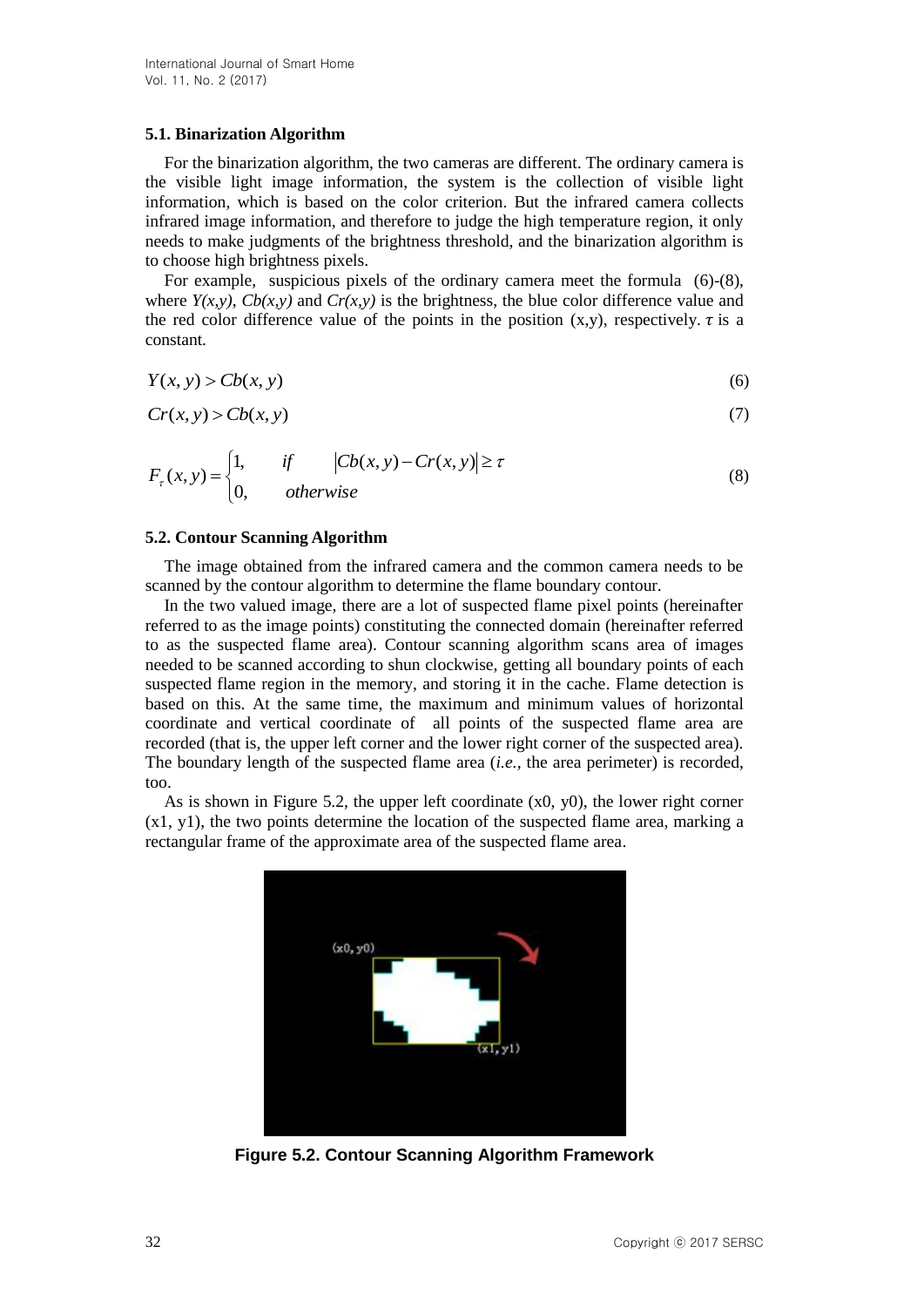#### **5.1. Binarization Algorithm**

For the binarization algorithm, the two cameras are different. The ordinary camera is the visible light image information, the system is the collection of visible light information, which is based on the color criterion. But the infrared camera collects infrared image information, and therefore to judge the high temperature region, it only needs to make judgments of the brightness threshold, and the binarization algorithm is to choose high brightness pixels.

For example, suspicious pixels of the ordinary camera meet the formula  $(6)-(8)$ , where  $Y(x, y)$ ,  $Cb(x, y)$  and  $Cr(x, y)$  is the brightness, the blue color difference value and the red color difference value of the points in the position  $(x,y)$ , respectively.  $\tau$  is a constant.

$$
Y(x, y) > Cb(x, y) \tag{6}
$$

$$
Cr(x, y) > Cb(x, y)
$$
\n<sup>(7)</sup>

$$
F_{\tau}(x, y) = \begin{cases} 1, & \text{if } |Cb(x, y) - Cr(x, y)| \ge \tau \\ 0, & \text{otherwise} \end{cases}
$$
(8)

#### **5.2. Contour Scanning Algorithm**

The image obtained from the infrared camera and the common camera needs to be scanned by the contour algorithm to determine the flame boundary contour.

In the two valued image, there are a lot of suspected flame pixel points (hereinafter referred to as the image points) constituting the connected domain (hereinafter referred to as the suspected flame area). Contour scanning algorithm scans area of images needed to be scanned according to shun clockwise, getting all boundary points of each suspected flame region in the memory, and storing it in the cache. Flame detection is based on this. At the same time, the maximum and minimum values of horizontal coordinate and vertical coordinate of all points of the suspected flame area are recorded (that is, the upper left corner and the lower right corner of the suspected area). The boundary length of the suspected flame area (*i.e.,* the area perimeter) is recorded, too.

As is shown in Figure 5.2, the upper left coordinate (x0, y0), the lower right corner (x1, y1), the two points determine the location of the suspected flame area, marking a rectangular frame of the approximate area of the suspected flame area.



**Figure 5.2. Contour Scanning Algorithm Framework**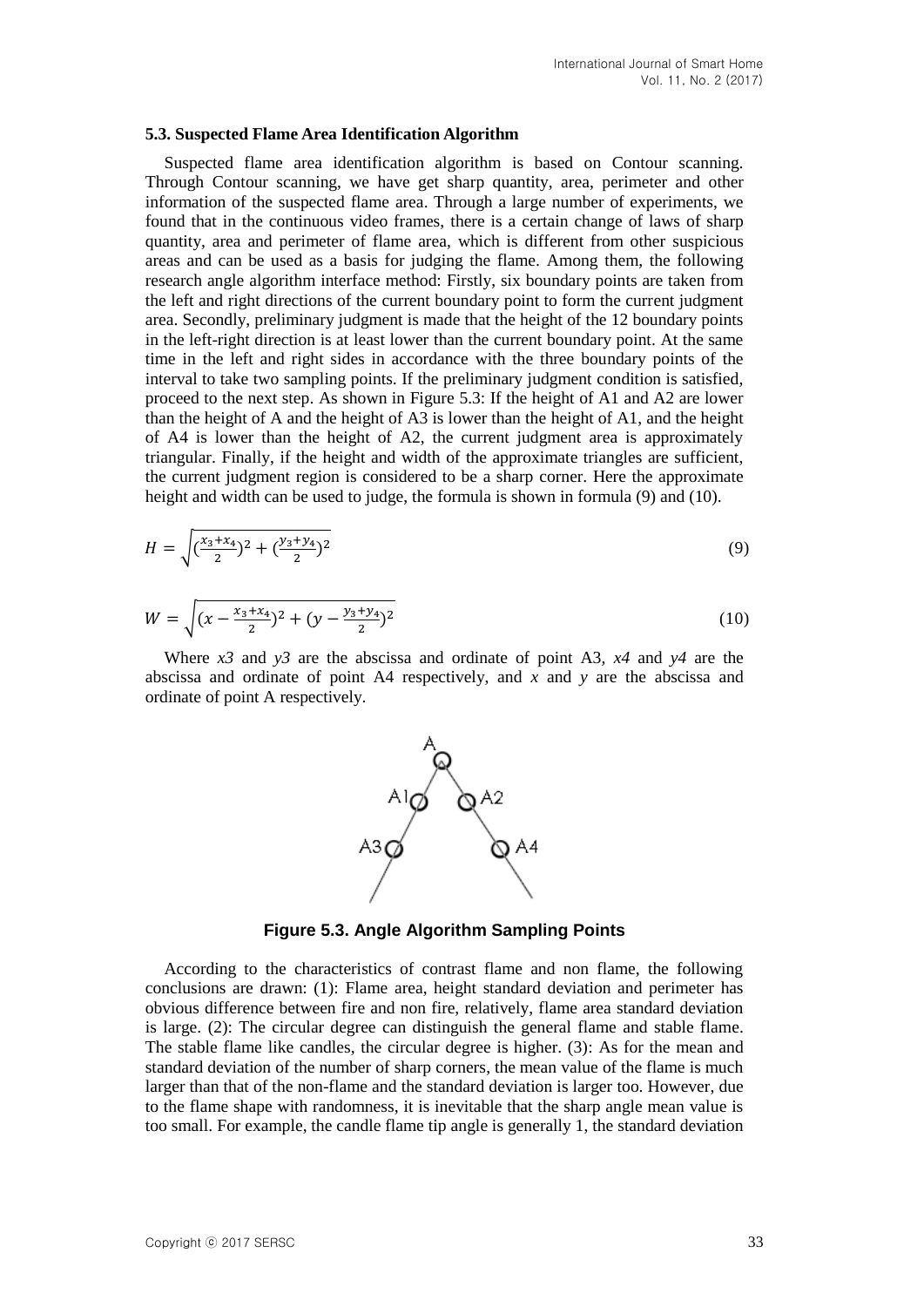#### **5.3. Suspected Flame Area Identification Algorithm**

Suspected flame area identification algorithm is based on Contour scanning. Through Contour scanning, we have get sharp quantity, area, perimeter and other information of the suspected flame area. Through a large number of experiments, we found that in the continuous video frames, there is a certain change of laws of sharp quantity, area and perimeter of flame area, which is different from other suspicious areas and can be used as a basis for judging the flame. Among them, the following research angle algorithm interface method: Firstly, six boundary points are taken from the left and right directions of the current boundary point to form the current judgment area. Secondly, preliminary judgment is made that the height of the 12 boundary points in the left-right direction is at least lower than the current boundary point. At the same time in the left and right sides in accordance with the three boundary points of the interval to take two sampling points. If the preliminary judgment condition is satisfied, proceed to the next step. As shown in Figure 5.3: If the height of A1 and A2 are lower than the height of A and the height of A3 is lower than the height of A1, and the height of A4 is lower than the height of A2, the current judgment area is approximately triangular. Finally, if the height and width of the approximate triangles are sufficient, the current judgment region is considered to be a sharp corner. Here the approximate height and width can be used to judge, the formula is shown in formula (9) and (10).

$$
H = \sqrt{\left(\frac{x_3 + x_4}{2}\right)^2 + \left(\frac{y_3 + y_4}{2}\right)^2} \tag{9}
$$

$$
W = \sqrt{(x - \frac{x_3 + x_4}{2})^2 + (y - \frac{y_3 + y_4}{2})^2}
$$
 (10)

Where *x3* and *y3* are the abscissa and ordinate of point A3, *x4* and *y4* are the abscissa and ordinate of point A4 respectively, and *x* and *y* are the abscissa and ordinate of point A respectively.



**Figure 5.3. Angle Algorithm Sampling Points**

According to the characteristics of contrast flame and non flame, the following conclusions are drawn: (1): Flame area, height standard deviation and perimeter has obvious difference between fire and non fire, relatively, flame area standard deviation is large. (2): The circular degree can distinguish the general flame and stable flame. The stable flame like candles, the circular degree is higher. (3): As for the mean and standard deviation of the number of sharp corners, the mean value of the flame is much larger than that of the non-flame and the standard deviation is larger too. However, due to the flame shape with randomness, it is inevitable that the sharp angle mean value is too small. For example, the candle flame tip angle is generally 1, the standard deviation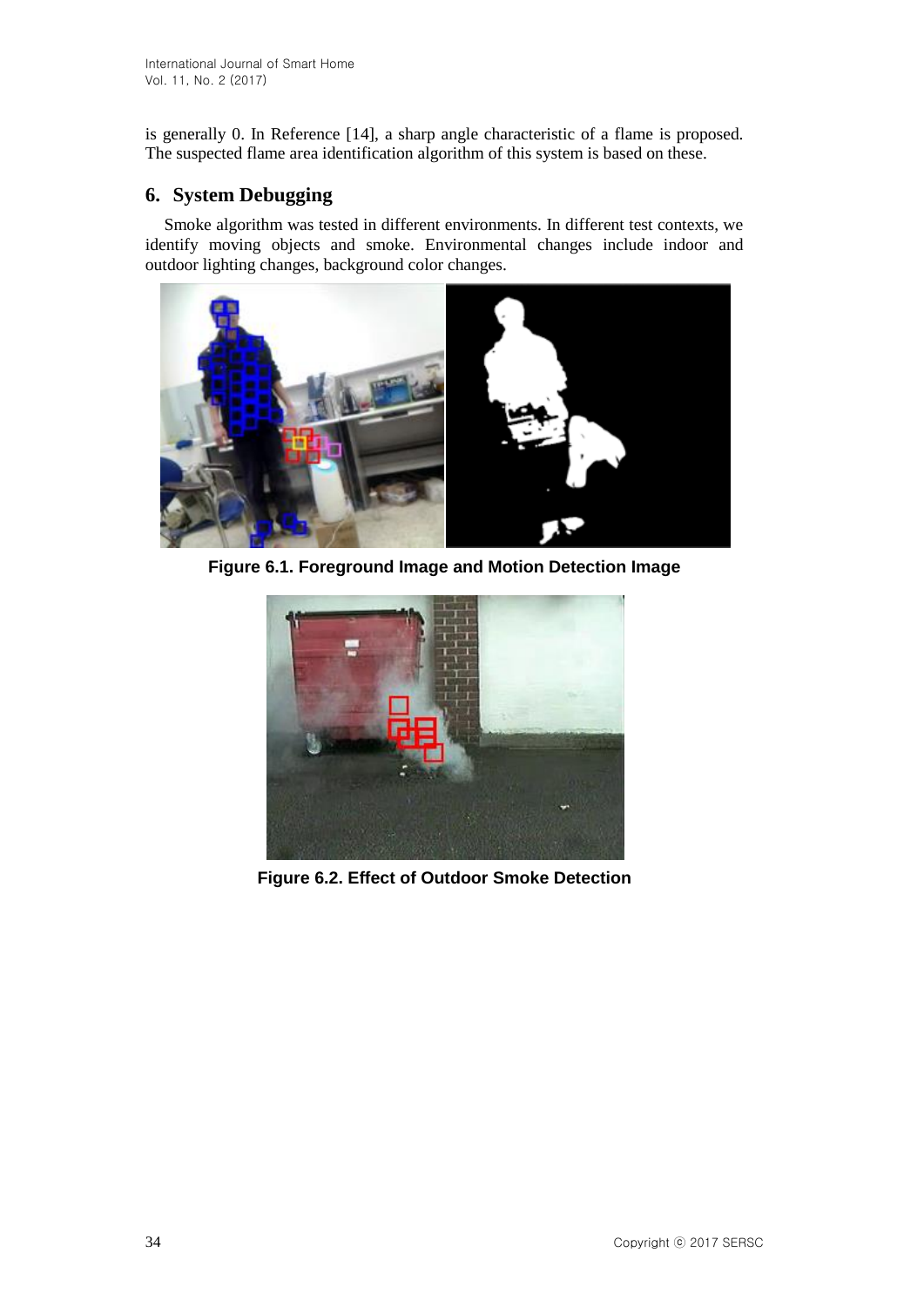is generally 0. In Reference [14], a sharp angle characteristic of a flame is proposed. The suspected flame area identification algorithm of this system is based on these.

# **6. System Debugging**

Smoke algorithm was tested in different environments. In different test contexts, we identify moving objects and smoke. Environmental changes include indoor and outdoor lighting changes, background color changes.



**Figure 6.1. Foreground Image and Motion Detection Image**



**Figure 6.2. Effect of Outdoor Smoke Detection**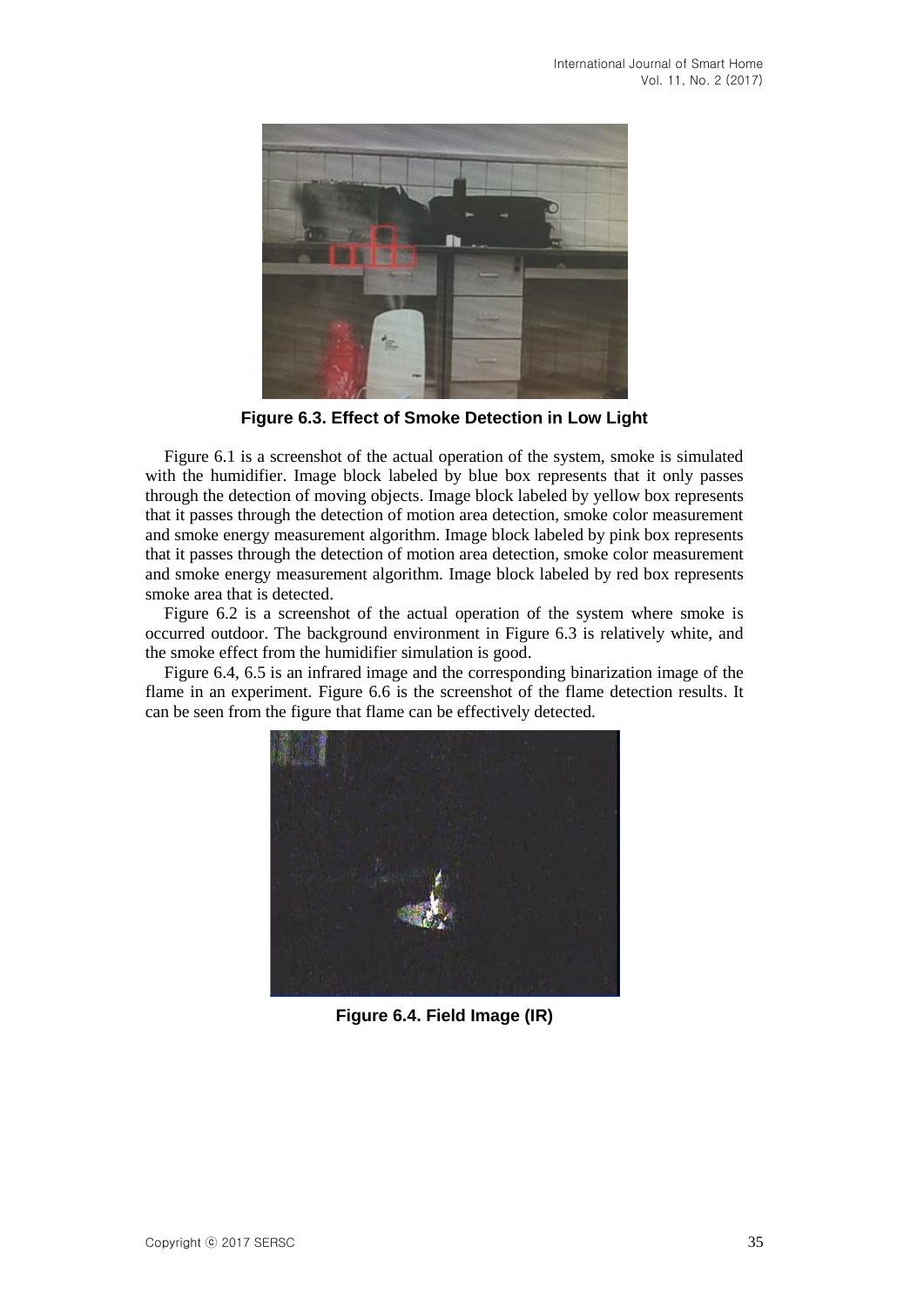

**Figure 6.3. Effect of Smoke Detection in Low Light**

Figure 6.1 is a screenshot of the actual operation of the system, smoke is simulated with the humidifier. Image block labeled by blue box represents that it only passes through the detection of moving objects. Image block labeled by yellow box represents that it passes through the detection of motion area detection, smoke color measurement and smoke energy measurement algorithm. Image block labeled by pink box represents that it passes through the detection of motion area detection, smoke color measurement and smoke energy measurement algorithm. Image block labeled by red box represents smoke area that is detected.

Figure 6.2 is a screenshot of the actual operation of the system where smoke is occurred outdoor. The background environment in Figure 6.3 is relatively white, and the smoke effect from the humidifier simulation is good.

Figure 6.4, 6.5 is an infrared image and the corresponding binarization image of the flame in an experiment. Figure 6.6 is the screenshot of the flame detection results. It can be seen from the figure that flame can be effectively detected.



**Figure 6.4. Field Image (IR)**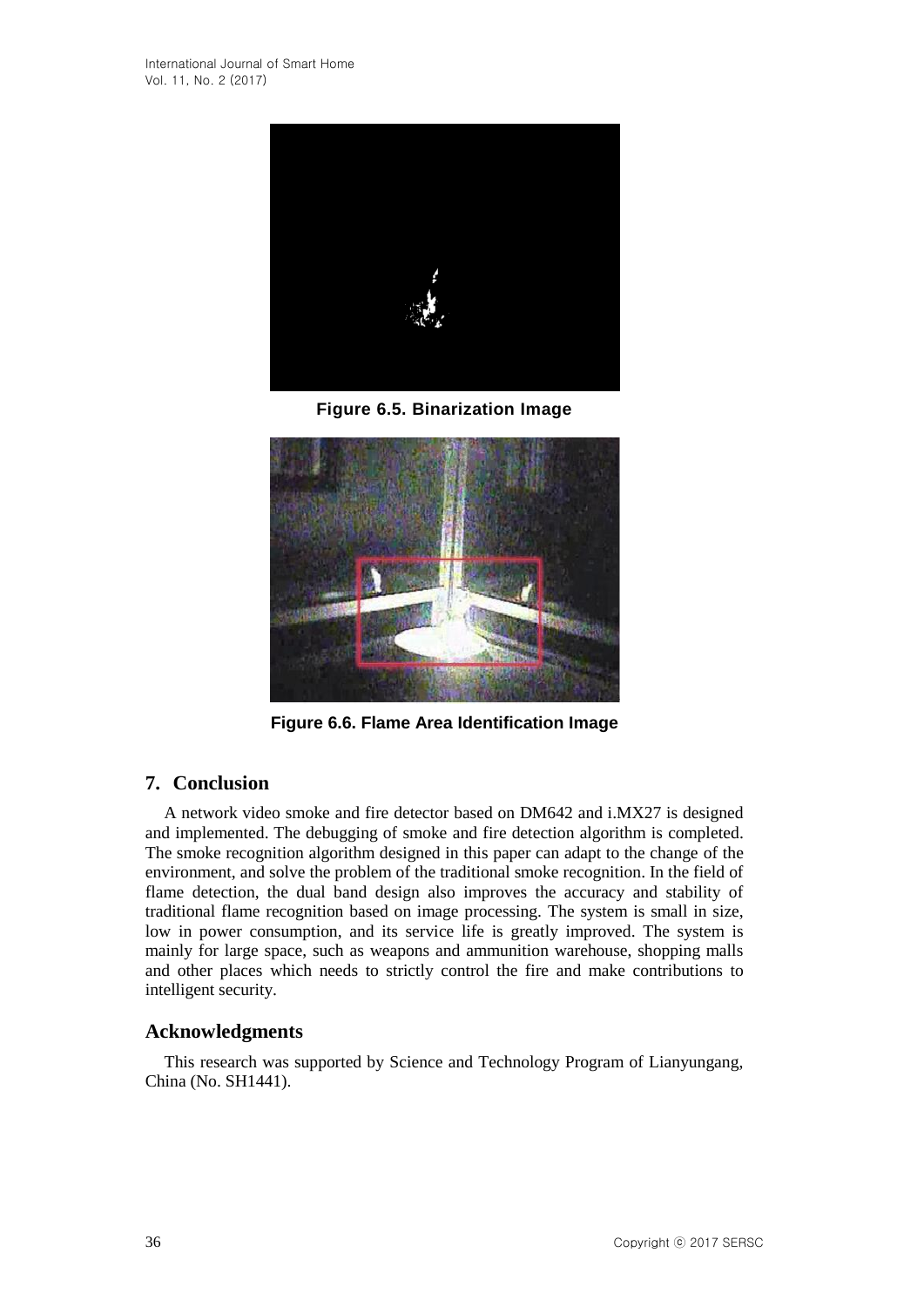

**Figure 6.5. Binarization Image**



**Figure 6.6. Flame Area Identification Image**

# **7. Conclusion**

A network video smoke and fire detector based on DM642 and i.MX27 is designed and implemented. The debugging of smoke and fire detection algorithm is completed. The smoke recognition algorithm designed in this paper can adapt to the change of the environment, and solve the problem of the traditional smoke recognition. In the field of flame detection, the dual band design also improves the accuracy and stability of traditional flame recognition based on image processing. The system is small in size, low in power consumption, and its service life is greatly improved. The system is mainly for large space, such as weapons and ammunition warehouse, shopping malls and other places which needs to strictly control the fire and make contributions to intelligent security.

# **Acknowledgments**

This research was supported by Science and Technology Program of Lianyungang, China (No. SH1441).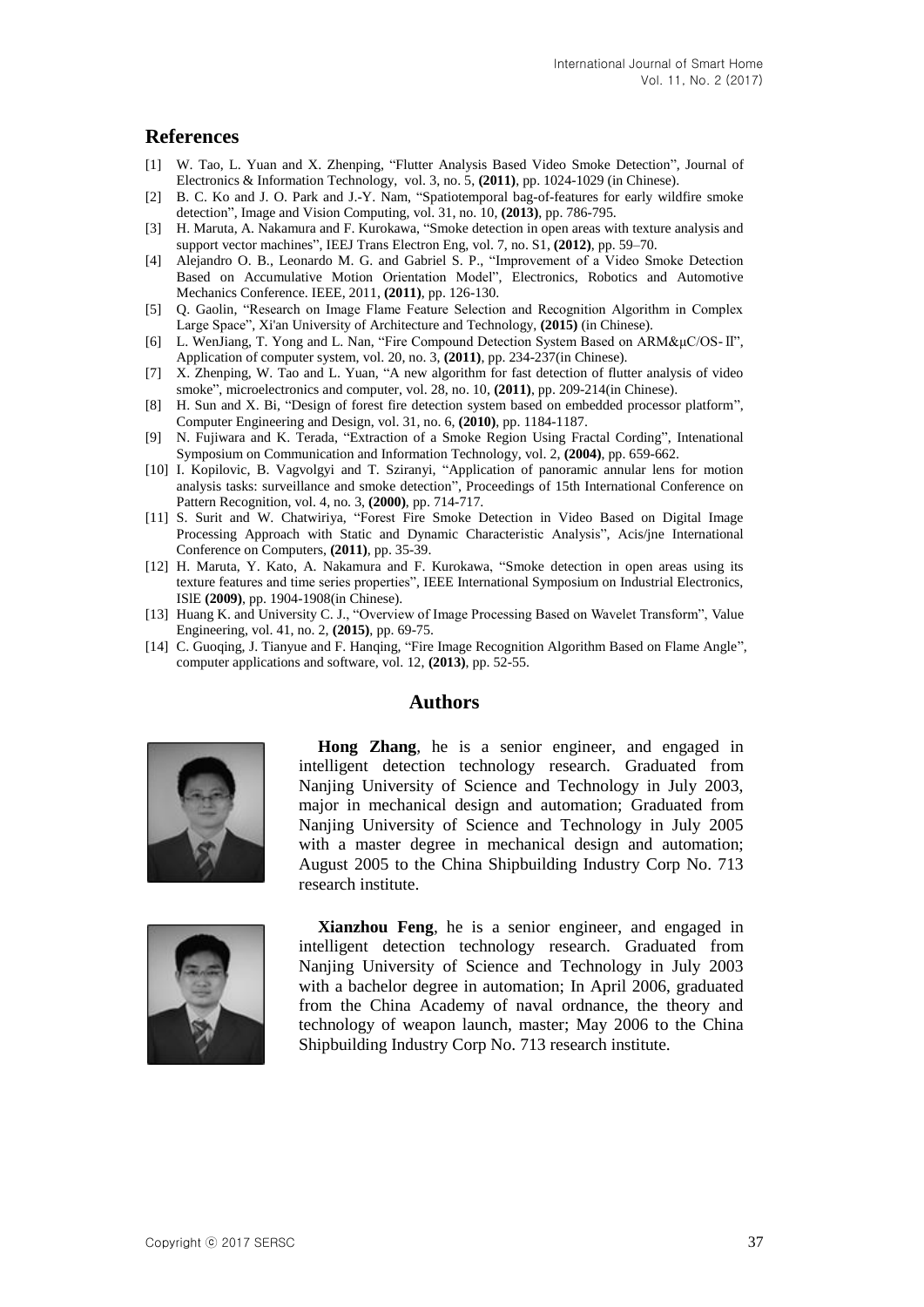### **References**

- [1] W. Tao, L. Yuan and X. Zhenping, "Flutter Analysis Based Video Smoke Detection", Journal of Electronics & Information Technology, vol. 3, no. 5, **(2011)**, pp. 1024-1029 (in Chinese).
- [2] B. C. Ko and J. O. Park and J.-Y. Nam, "Spatiotemporal bag-of-features for early wildfire smoke detection", Image and Vision Computing, vol. 31, no. 10, **(2013)**, pp. 786-795.
- [3] H. Maruta, A. Nakamura and F. Kurokawa, "Smoke detection in open areas with texture analysis and support vector machines", IEEJ Trans Electron Eng, vol. 7, no. S1, **(2012)**, pp. 59–70.
- [4] Alejandro O. B., Leonardo M. G. and Gabriel S. P., "Improvement of a Video Smoke Detection Based on Accumulative Motion Orientation Model", Electronics, Robotics and Automotive Mechanics Conference. IEEE, 2011, **(2011)**, pp. 126-130.
- [5] Q. Gaolin, "Research on Image Flame Feature Selection and Recognition Algorithm in Complex Large Space", Xi'an University of Architecture and Technology, **(2015)** (in Chinese).
- [6] L. WenJiang, T. Yong and L. Nan, "Fire Compound Detection System Based on ARM&μC/OS-Ⅱ", Application of computer system, vol. 20, no. 3, **(2011)**, pp. 234-237(in Chinese).
- [7] X. Zhenping, W. Tao and L. Yuan, "A new algorithm for fast detection of flutter analysis of video smoke", microelectronics and computer, vol. 28, no. 10, **(2011)**, pp. 209-214(in Chinese).
- [8] H. Sun and X. Bi, "Design of forest fire detection system based on embedded processor platform", Computer Engineering and Design, vol. 31, no. 6, **(2010)**, pp. 1184-1187.
- [9] N. Fujiwara and K. Terada, "Extraction of a Smoke Region Using Fractal Cording", Intenational Symposium on Communication and Information Technology, vol. 2, **(2004)**, pp. 659-662.
- [10] I. Kopilovic, B. Vagvolgyi and T. Sziranyi, "Application of panoramic annular lens for motion analysis tasks: surveillance and smoke detection", Proceedings of 15th International Conference on Pattern Recognition, vol. 4, no. 3, **(2000)**, pp. 714-717.
- [11] S. Surit and W. Chatwiriya, "Forest Fire Smoke Detection in Video Based on Digital Image Processing Approach with Static and Dynamic Characteristic Analysis", Acis/jne International Conference on Computers, **(2011)**, pp. 35-39.
- [12] H. Maruta, Y. Kato, A. Nakamura and F. Kurokawa, "Smoke detection in open areas using its texture features and time series properties", IEEE International Symposium on Industrial Electronics, ISlE **(2009)**, pp. 1904-1908(in Chinese).
- [13] Huang K. and University C. J., "Overview of Image Processing Based on Wavelet Transform", Value Engineering, vol. 41, no. 2, **(2015)**, pp. 69-75.
- [14] C. Guoqing, J. Tianyue and F. Hanqing, "Fire Image Recognition Algorithm Based on Flame Angle", computer applications and software, vol. 12, **(2013)**, pp. 52-55.

#### **Authors**



**Hong Zhang**, he is a senior engineer, and engaged in intelligent detection technology research. Graduated from Nanjing University of Science and Technology in July 2003, major in mechanical design and automation; Graduated from Nanjing University of Science and Technology in July 2005 with a master degree in mechanical design and automation; August 2005 to the China Shipbuilding Industry Corp No. 713 research institute.



**Xianzhou Feng**, he is a senior engineer, and engaged in intelligent detection technology research. Graduated from Nanjing University of Science and Technology in July 2003 with a bachelor degree in automation; In April 2006, graduated from the China Academy of naval ordnance, the theory and technology of weapon launch, master; May 2006 to the China Shipbuilding Industry Corp No. 713 research institute.